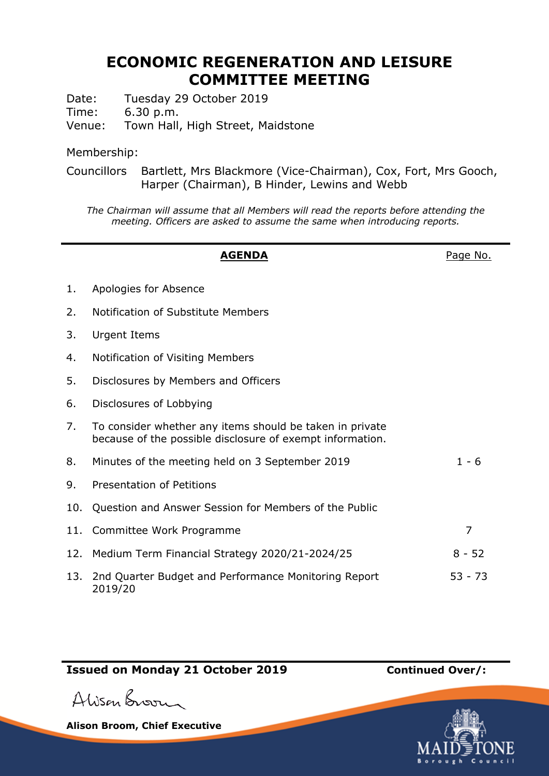## **ECONOMIC REGENERATION AND LEISURE COMMITTEE MEETING**

Date: Tuesday 29 October 2019

Time: 6.30 p.m.

Venue: Town Hall, High Street, Maidstone

Membership:

Councillors Bartlett, Mrs Blackmore (Vice-Chairman), Cox, Fort, Mrs Gooch, Harper (Chairman), B Hinder, Lewins and Webb

*The Chairman will assume that all Members will read the reports before attending the meeting. Officers are asked to assume the same when introducing reports.*

|     | <b>AGENDA</b>                                                                                                         | Page No.  |
|-----|-----------------------------------------------------------------------------------------------------------------------|-----------|
| 1.  | Apologies for Absence                                                                                                 |           |
| 2.  | Notification of Substitute Members                                                                                    |           |
| 3.  | Urgent Items                                                                                                          |           |
| 4.  | Notification of Visiting Members                                                                                      |           |
| 5.  | Disclosures by Members and Officers                                                                                   |           |
| 6.  | Disclosures of Lobbying                                                                                               |           |
| 7.  | To consider whether any items should be taken in private<br>because of the possible disclosure of exempt information. |           |
| 8.  | Minutes of the meeting held on 3 September 2019                                                                       | $1 - 6$   |
| 9.  | <b>Presentation of Petitions</b>                                                                                      |           |
| 10. | Question and Answer Session for Members of the Public                                                                 |           |
| 11. | Committee Work Programme                                                                                              | 7         |
| 12. | Medium Term Financial Strategy 2020/21-2024/25                                                                        | $8 - 52$  |
| 13. | 2nd Quarter Budget and Performance Monitoring Report<br>2019/20                                                       | $53 - 73$ |

## **Issued on Monday 21 October 2019 Continued Over/:**

Alison Broom

**Alison Broom, Chief Executive**